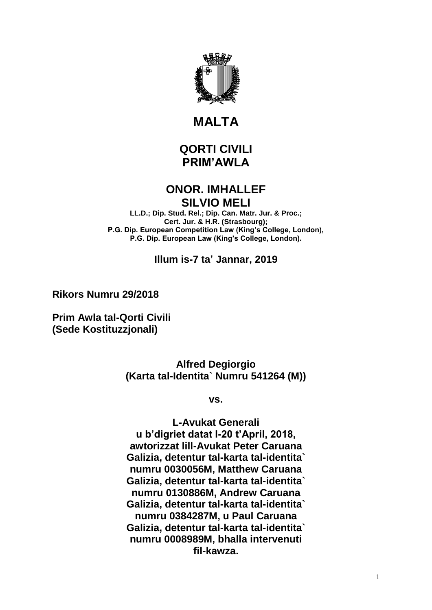

**MALTA**

# **QORTI CIVILI PRIM'AWLA**

### **ONOR. IMHALLEF SILVIO MELI**

**LL.D.; Dip. Stud. Rel.; Dip. Can. Matr. Jur. & Proc.; Cert. Jur. & H.R. (Strasbourg); P.G. Dip. European Competition Law (King's College, London), P.G. Dip. European Law (King's College, London).**

### **Illum is-7 ta' Jannar, 2019**

**Rikors Numru 29/2018**

**Prim Awla tal-Qorti Civili (Sede Kostituzzjonali)**

#### **Alfred Degiorgio (Karta tal-Identita` Numru 541264 (M))**

**vs.**

**L-Avukat Generali u b'digriet datat l-20 t'April, 2018, awtorizzat lill-Avukat Peter Caruana Galizia, detentur tal-karta tal-identita` numru 0030056M, Matthew Caruana Galizia, detentur tal-karta tal-identita` numru 0130886M, Andrew Caruana Galizia, detentur tal-karta tal-identita` numru 0384287M, u Paul Caruana Galizia, detentur tal-karta tal-identita` numru 0008989M, bhalla intervenuti fil-kawza.**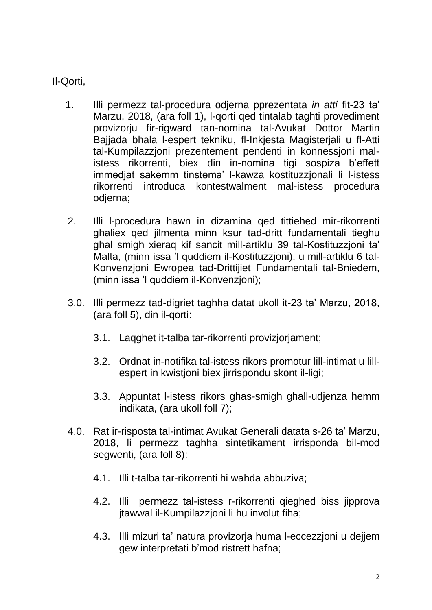Il-Qorti,

- 1. Illi permezz tal-procedura odjerna pprezentata *in atti* fit-23 ta' Marzu, 2018, (ara foll 1), l-qorti qed tintalab taghti provediment provizorju fir-rigward tan-nomina tal-Avukat Dottor Martin Bajjada bhala l-espert tekniku, fl-Inkjesta Magisterjali u fl-Atti tal-Kumpilazzjoni prezentement pendenti in konnessjoni malistess rikorrenti, biex din in-nomina tigi sospiza b'effett immedjat sakemm tinstema' l-kawza kostituzzjonali li l-istess rikorrenti introduca kontestwalment mal-istess procedura odjerna;
- 2. Illi l-procedura hawn in dizamina qed tittiehed mir-rikorrenti ghaliex qed jilmenta minn ksur tad-dritt fundamentali tieghu ghal smigh xieraq kif sancit mill-artiklu 39 tal-Kostituzzjoni ta' Malta, (minn issa 'l quddiem il-Kostituzzjoni), u mill-artiklu 6 tal-Konvenzjoni Ewropea tad-Drittijiet Fundamentali tal-Bniedem, (minn issa 'l quddiem il-Konvenzjoni);
- 3.0. Illi permezz tad-digriet taghha datat ukoll it-23 ta' Marzu, 2018, (ara foll 5), din il-qorti:
	- 3.1. Laqghet it-talba tar-rikorrenti provizjorjament;
	- 3.2. Ordnat in-notifika tal-istess rikors promotur lill-intimat u lillespert in kwistjoni biex jirrispondu skont il-ligi;
	- 3.3. Appuntat l-istess rikors ghas-smigh ghall-udjenza hemm indikata, (ara ukoll foll 7);
- 4.0. Rat ir-risposta tal-intimat Avukat Generali datata s-26 ta' Marzu, 2018, li permezz taghha sintetikament irrisponda bil-mod segwenti, (ara foll 8):
	- 4.1. Illi t-talba tar-rikorrenti hi wahda abbuziva;
	- 4.2. Illi permezz tal-istess r-rikorrenti qieghed biss jipprova jtawwal il-Kumpilazzjoni li hu involut fiha;
	- 4.3. Illi mizuri ta' natura provizorja huma l-eccezzjoni u dejjem gew interpretati b'mod ristrett hafna;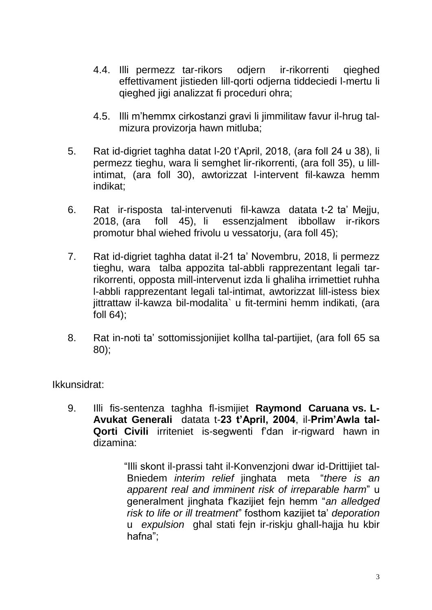- 4.4. Illi permezz tar-rikors odjern ir-rikorrenti qieghed effettivament jistieden lill-qorti odjerna tiddeciedi l-mertu li qieghed jigi analizzat fi proceduri ohra;
- 4.5. Illi m'hemmx cirkostanzi gravi li jimmilitaw favur il-hrug talmizura provizorja hawn mitluba;
- 5. Rat id-digriet taghha datat l-20 t'April, 2018, (ara foll 24 u 38), li permezz tieghu, wara li semghet lir-rikorrenti, (ara foll 35), u lillintimat, (ara foll 30), awtorizzat l-intervent fil-kawza hemm indikat;
- 6. Rat ir-risposta tal-intervenuti fil-kawza datata t-2 ta' Mejju, 2018, (ara foll 45), li essenzjalment ibbollaw ir-rikors promotur bhal wiehed frivolu u vessatorju, (ara foll 45);
- 7. Rat id-digriet taghha datat il-21 ta' Novembru, 2018, li permezz tieghu, wara talba appozita tal-abbli rapprezentant legali tarrikorrenti, opposta mill-intervenut izda li ghaliha irrimettiet ruhha l-abbli rapprezentant legali tal-intimat, awtorizzat lill-istess biex jittrattaw il-kawza bil-modalita` u fit-termini hemm indikati, (ara foll 64);
- 8. Rat in-noti ta' sottomissjonijiet kollha tal-partijiet, (ara foll 65 sa 80);

Ikkunsidrat:

9. Illi fis-sentenza taghha fl-ismijiet **Raymond Caruana vs. L-Avukat Generali** datata t-**23 t'April, 2004**, il-**Prim'Awla tal-Qorti Civili** irriteniet is-segwenti f'dan ir-rigward hawn in dizamina:

> "Illi skont il-prassi taht il-Konvenzjoni dwar id-Drittijiet tal-Bniedem *interim relief* jinghata meta "*there is an apparent real and imminent risk of irreparable harm*" u generalment jinghata f'kazijiet fejn hemm "*an alledged risk to life or ill treatment*" fosthom kazijiet ta' *deporation* u *expulsion* ghal stati fejn ir-riskju ghall-hajja hu kbir hafna";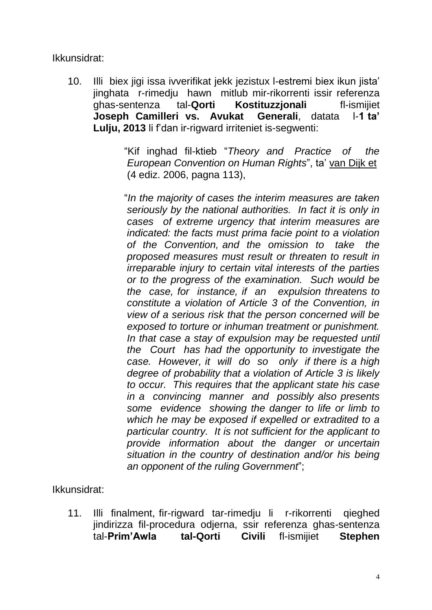### Ikkunsidrat:

10. Illi biex jigi issa ivverifikat jekk jezistux l-estremi biex ikun jista' jinghata r-rimedju hawn mitlub mir-rikorrenti issir referenza ghas-sentenza tal-**Qorti Kostituzzjonali** fl-ismijiet **Joseph Camilleri vs. Avukat Generali**, datata l-**1 ta' Lulju, 2013** li f'dan ir-rigward irriteniet is-segwenti:

> "Kif inghad fil-ktieb "*Theory and Practice of the European Convention on Human Rights*", ta' van Dijk et (4 ediz. 2006, pagna 113),

> "*In the majority of cases the interim measures are taken seriously by the national authorities. In fact it is only in cases of extreme urgency that interim measures are indicated: the facts must prima facie point to a violation of the Convention, and the omission to take the proposed measures must result or threaten to result in irreparable injury to certain vital interests of the parties or to the progress of the examination. Such would be the case, for instance, if an expulsion threatens to constitute a violation of Article 3 of the Convention, in view of a serious risk that the person concerned will be exposed to torture or inhuman treatment or punishment. In that case a stay of expulsion may be requested until the Court has had the opportunity to investigate the case. However, it will do so only if there is a high degree of probability that a violation of Article 3 is likely to occur. This requires that the applicant state his case in a convincing manner and possibly also presents some evidence showing the danger to life or limb to which he may be exposed if expelled or extradited to a particular country. It is not sufficient for the applicant to provide information about the danger or uncertain situation in the country of destination and/or his being an opponent of the ruling Government*";

Ikkunsidrat:

11. Illi finalment, fir-rigward tar-rimedju li r-rikorrenti qieghed jindirizza fil-procedura odjerna, ssir referenza ghas-sentenza tal-**Prim'Awla tal-Qorti Civili** fl-ismijiet **Stephen**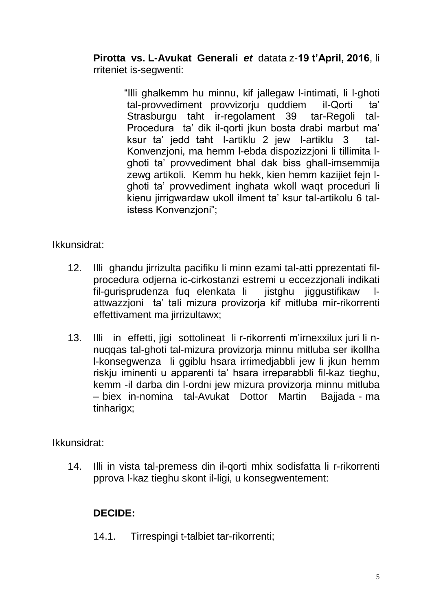**Pirotta vs. L-Avukat Generali** *et* datata z-**19 t'April, 2016**, li rriteniet is-segwenti:

> "Illi ghalkemm hu minnu, kif jallegaw l-intimati, li l-ghoti tal-provvediment provvizorju quddiem il-Qorti ta' Strasburgu taht ir-regolament 39 tar-Regoli tal-Procedura ta' dik il-qorti jkun bosta drabi marbut ma' ksur ta' jedd taht l-artiklu 2 jew l-artiklu 3 tal-Konvenzjoni, ma hemm l-ebda dispozizzjoni li tillimita lghoti ta' provvediment bhal dak biss ghall-imsemmija zewg artikoli. Kemm hu hekk, kien hemm kazijiet fejn lghoti ta' provvediment inghata wkoll waqt proceduri li kienu jirrigwardaw ukoll ilment ta' ksur tal-artikolu 6 talistess Konvenzjoni";

## Ikkunsidrat:

- 12. Illi ghandu jirrizulta pacifiku li minn ezami tal-atti pprezentati filprocedura odjerna ic-cirkostanzi estremi u eccezzjonali indikati fil-gurisprudenza fug elenkata li jistghu jiggustifikaw Iattwazzjoni ta' tali mizura provizorja kif mitluba mir-rikorrenti effettivament ma jirrizultawx;
- 13. Illi in effetti, jigi sottolineat li r-rikorrenti m'irnexxilux juri li nnuqqas tal-ghoti tal-mizura provizorja minnu mitluba ser ikollha l-konsegwenza li ggiblu hsara irrimedjabbli jew li jkun hemm riskju iminenti u apparenti ta' hsara irreparabbli fil-kaz tieghu, kemm -il darba din l-ordni jew mizura provizorja minnu mitluba – biex in-nomina tal-Avukat Dottor Martin Bajjada - ma tinharigx:

Ikkunsidrat:

14. Illi in vista tal-premess din il-qorti mhix sodisfatta li r-rikorrenti pprova l-kaz tieghu skont il-ligi, u konsegwentement:

### **DECIDE:**

14.1. Tirrespingi t-talbiet tar-rikorrenti;